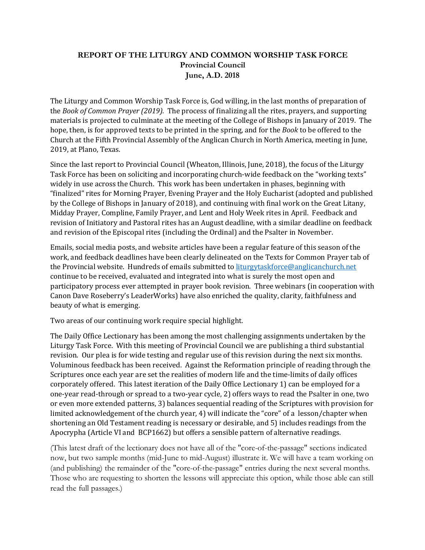## **REPORT OF THE LITURGY AND COMMON WORSHIP TASK FORCE Provincial Council June, A.D. 2018**

The Liturgy and Common Worship Task Force is, God willing, in the last months of preparation of the *Book of Common Prayer (2019)*. The process of finalizing all the rites, prayers, and supporting materials is projected to culminate at the meeting of the College of Bishops in January of 2019. The hope, then, is for approved texts to be printed in the spring, and for the *Book* to be offered to the Church at the Fifth Provincial Assembly of the Anglican Church in North America, meeting in June, 2019, at Plano, Texas.

Since the last report to Provincial Council (Wheaton, Illinois, June, 2018), the focus of the Liturgy Task Force has been on soliciting and incorporating church-wide feedback on the "working texts" widely in use across the Church. This work has been undertaken in phases, beginning with "finalized" rites for Morning Prayer, Evening Prayer and the Holy Eucharist (adopted and published by the College of Bishops in January of 2018), and continuing with final work on the Great Litany, Midday Prayer, Compline, Family Prayer, and Lent and Holy Week rites in April. Feedback and revision of Initiatory and Pastoral rites has an August deadline, with a similar deadline on feedback and revision of the Episcopal rites (including the Ordinal) and the Psalter in November.

Emails, social media posts, and website articles have been a regular feature of this season of the work, and feedback deadlines have been clearly delineated on the Texts for Common Prayer tab of the Provincial website. Hundreds of emails submitted to liturgytaskforce@anglicanchurch.net continue to be received, evaluated and integrated into what is surely the most open and participatory process ever attempted in prayer book revision. Three webinars (in cooperation with Canon Dave Roseberry's LeaderWorks) have also enriched the quality, clarity, faithfulness and beauty of what is emerging.

Two areas of our continuing work require special highlight.

The Daily Office Lectionary has been among the most challenging assignments undertaken by the Liturgy Task Force. With this meeting of Provincial Council we are publishing a third substantial revision. Our plea is for wide testing and regular use of this revision during the next six months. Voluminous feedback has been received. Against the Reformation principle of reading through the Scriptures once each year are set the realities of modern life and the time-limits of daily offices corporately offered. This latest iteration of the Daily Office Lectionary 1) can be employed for a one-year read-through or spread to a two-year cycle, 2) offers ways to read the Psalter in one, two or even more extended patterns, 3) balances sequential reading of the Scriptures with provision for limited acknowledgement of the church year,  $4$ ) will indicate the "core" of a lesson/chapter when shortening an Old Testament reading is necessary or desirable, and 5) includes readings from the Apocrypha (Article VI and BCP1662) but offers a sensible pattern of alternative readings.

(This latest draft of the lectionary does not have all of the "core-of-the-passage" sections indicated now, but two sample months (mid-June to mid-August) illustrate it. We will have a team working on (and publishing) the remainder of the "core-of-the-passage" entries during the next several months. Those who are requesting to shorten the lessons will appreciate this option, while those able can still read the full passages.)